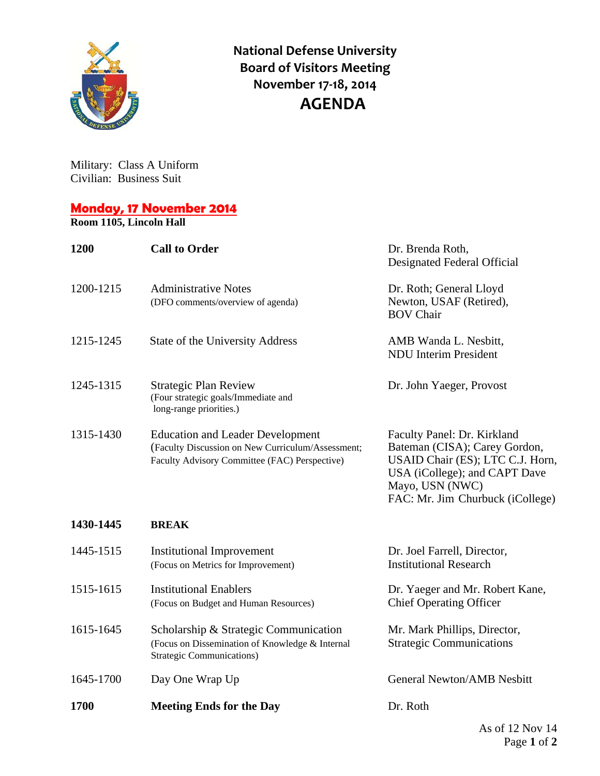

**National Defense University Board of Visitors Meeting November 17‐18, 2014 AGENDA**

Military: Class A Uniform Civilian: Business Suit

## **Monday, 17 November 2014**

**Room 1105, Lincoln Hall**

| 1200        | <b>Call to Order</b>                                                                                                                          | Dr. Brenda Roth,<br>Designated Federal Official                                                                                                                                          |
|-------------|-----------------------------------------------------------------------------------------------------------------------------------------------|------------------------------------------------------------------------------------------------------------------------------------------------------------------------------------------|
| 1200-1215   | <b>Administrative Notes</b><br>(DFO comments/overview of agenda)                                                                              | Dr. Roth; General Lloyd<br>Newton, USAF (Retired),<br><b>BOV Chair</b>                                                                                                                   |
| 1215-1245   | State of the University Address                                                                                                               | AMB Wanda L. Nesbitt,<br><b>NDU</b> Interim President                                                                                                                                    |
| 1245-1315   | <b>Strategic Plan Review</b><br>(Four strategic goals/Immediate and<br>long-range priorities.)                                                | Dr. John Yaeger, Provost                                                                                                                                                                 |
| 1315-1430   | <b>Education and Leader Development</b><br>(Faculty Discussion on New Curriculum/Assessment;<br>Faculty Advisory Committee (FAC) Perspective) | Faculty Panel: Dr. Kirkland<br>Bateman (CISA); Carey Gordon,<br>USAID Chair (ES); LTC C.J. Horn,<br>USA (iCollege); and CAPT Dave<br>Mayo, USN (NWC)<br>FAC: Mr. Jim Churbuck (iCollege) |
| 1430-1445   | <b>BREAK</b>                                                                                                                                  |                                                                                                                                                                                          |
| 1445-1515   | <b>Institutional Improvement</b><br>(Focus on Metrics for Improvement)                                                                        | Dr. Joel Farrell, Director,<br><b>Institutional Research</b>                                                                                                                             |
| 1515-1615   | <b>Institutional Enablers</b><br>(Focus on Budget and Human Resources)                                                                        | Dr. Yaeger and Mr. Robert Kane,<br><b>Chief Operating Officer</b>                                                                                                                        |
| 1615-1645   | Scholarship & Strategic Communication<br>(Focus on Dissemination of Knowledge & Internal<br><b>Strategic Communications)</b>                  | Mr. Mark Phillips, Director,<br><b>Strategic Communications</b>                                                                                                                          |
| 1645-1700   | Day One Wrap Up                                                                                                                               | <b>General Newton/AMB Nesbitt</b>                                                                                                                                                        |
| <b>1700</b> | <b>Meeting Ends for the Day</b>                                                                                                               | Dr. Roth                                                                                                                                                                                 |